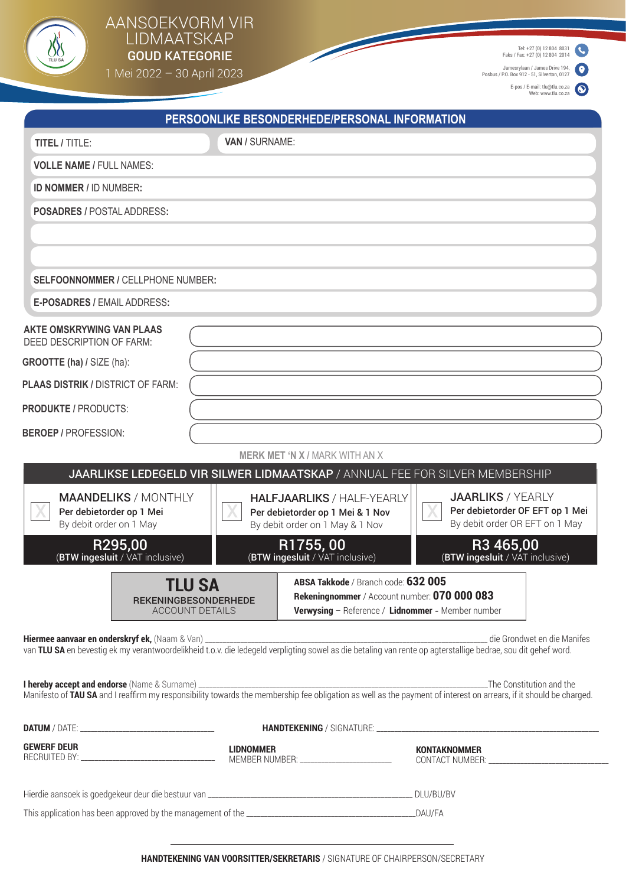

## AANSOEKVORM VIR LIDMAATSKAP  $\left\{\!\!\!\begin{array}{c} \text{LIDMAAI SKAP} \ \text{GOLD KATEGORIE} \end{array}\!\!\!\right\}$

1 Mei 2022 – 30 April 2023

Tel: +27 (0) 12 804 8031 Faks / Fax: +27 (0) 12 804 2014

Jamesrylaan / James Drive 194, Posbus / P.O. Box 912 - 51, Silverton, 0127

E-pos / E-mail: tlu@tlu.co.za Web: www.tlu.co.za

| VAN / SURNAME:<br>TITEL / TITLE:<br><b>VOLLE NAME / FULL NAMES:</b><br>ID NOMMER / ID NUMBER:<br><b>POSADRES / POSTAL ADDRESS:</b><br>SELFOONNOMMER / CELLPHONE NUMBER:<br>E-POSADRES / EMAIL ADDRESS:<br><b>MERK MET 'N X / MARK WITH AN X</b><br>JAARLIKSE LEDEGELD VIR SILWER LIDMAATSKAP / ANNUAL FEE FOR SILVER MEMBERSHIP<br><b>JAARLIKS / YEARLY</b><br><b>MAANDELIKS / MONTHLY</b><br><b>HALFJAARLIKS / HALF-YEARLY</b><br>Per debietorder OF EFT op 1 Mei<br>Per debietorder op 1 Mei<br>Per debietorder op 1 Mei & 1 Nov<br>By debit order OR EFT on 1 May<br>By debit order on 1 May<br>By debit order on 1 May & 1 Nov<br>R295,00<br>R1755,00<br>R3 465,00<br>(BTW ingesluit / VAT inclusive)<br>(BTW ingesluit / VAT inclusive)<br>(BTW ingesluit / VAT inclusive)<br>ABSA Takkode / Branch code: 632 005<br>TLU SA<br>Rekeningnommer / Account number: 070 000 083<br><b>REKENINGBESONDERHEDE</b><br>Verwysing - Reference / Lidnommer - Member number<br><b>ACCOUNT DETAILS</b><br><b>LIDNOMMER</b><br><b>KONTAKNOMMER</b> |                                                                                                                                                                                                                                | PERSOONLIKE BESONDERHEDE/PERSONAL INFORMATION |  |  |
|-------------------------------------------------------------------------------------------------------------------------------------------------------------------------------------------------------------------------------------------------------------------------------------------------------------------------------------------------------------------------------------------------------------------------------------------------------------------------------------------------------------------------------------------------------------------------------------------------------------------------------------------------------------------------------------------------------------------------------------------------------------------------------------------------------------------------------------------------------------------------------------------------------------------------------------------------------------------------------------------------------------------------------------------|--------------------------------------------------------------------------------------------------------------------------------------------------------------------------------------------------------------------------------|-----------------------------------------------|--|--|
| <b>AKTE OMSKRYWING VAN PLAAS</b><br>DEED DESCRIPTION OF FARM:<br><b>GROOTTE (ha) / SIZE (ha):</b><br><b>PLAAS DISTRIK / DISTRICT OF FARM:</b><br><b>PRODUKTE / PRODUCTS:</b><br><b>BEROEP / PROFESSION:</b><br><b>GEWERF DEUR</b>                                                                                                                                                                                                                                                                                                                                                                                                                                                                                                                                                                                                                                                                                                                                                                                                         |                                                                                                                                                                                                                                |                                               |  |  |
|                                                                                                                                                                                                                                                                                                                                                                                                                                                                                                                                                                                                                                                                                                                                                                                                                                                                                                                                                                                                                                           |                                                                                                                                                                                                                                |                                               |  |  |
|                                                                                                                                                                                                                                                                                                                                                                                                                                                                                                                                                                                                                                                                                                                                                                                                                                                                                                                                                                                                                                           |                                                                                                                                                                                                                                |                                               |  |  |
|                                                                                                                                                                                                                                                                                                                                                                                                                                                                                                                                                                                                                                                                                                                                                                                                                                                                                                                                                                                                                                           |                                                                                                                                                                                                                                |                                               |  |  |
|                                                                                                                                                                                                                                                                                                                                                                                                                                                                                                                                                                                                                                                                                                                                                                                                                                                                                                                                                                                                                                           |                                                                                                                                                                                                                                |                                               |  |  |
|                                                                                                                                                                                                                                                                                                                                                                                                                                                                                                                                                                                                                                                                                                                                                                                                                                                                                                                                                                                                                                           |                                                                                                                                                                                                                                |                                               |  |  |
|                                                                                                                                                                                                                                                                                                                                                                                                                                                                                                                                                                                                                                                                                                                                                                                                                                                                                                                                                                                                                                           |                                                                                                                                                                                                                                |                                               |  |  |
|                                                                                                                                                                                                                                                                                                                                                                                                                                                                                                                                                                                                                                                                                                                                                                                                                                                                                                                                                                                                                                           |                                                                                                                                                                                                                                |                                               |  |  |
|                                                                                                                                                                                                                                                                                                                                                                                                                                                                                                                                                                                                                                                                                                                                                                                                                                                                                                                                                                                                                                           |                                                                                                                                                                                                                                |                                               |  |  |
|                                                                                                                                                                                                                                                                                                                                                                                                                                                                                                                                                                                                                                                                                                                                                                                                                                                                                                                                                                                                                                           |                                                                                                                                                                                                                                |                                               |  |  |
|                                                                                                                                                                                                                                                                                                                                                                                                                                                                                                                                                                                                                                                                                                                                                                                                                                                                                                                                                                                                                                           |                                                                                                                                                                                                                                |                                               |  |  |
|                                                                                                                                                                                                                                                                                                                                                                                                                                                                                                                                                                                                                                                                                                                                                                                                                                                                                                                                                                                                                                           |                                                                                                                                                                                                                                |                                               |  |  |
|                                                                                                                                                                                                                                                                                                                                                                                                                                                                                                                                                                                                                                                                                                                                                                                                                                                                                                                                                                                                                                           |                                                                                                                                                                                                                                |                                               |  |  |
|                                                                                                                                                                                                                                                                                                                                                                                                                                                                                                                                                                                                                                                                                                                                                                                                                                                                                                                                                                                                                                           |                                                                                                                                                                                                                                |                                               |  |  |
|                                                                                                                                                                                                                                                                                                                                                                                                                                                                                                                                                                                                                                                                                                                                                                                                                                                                                                                                                                                                                                           | Hiermee aanvaar en onderskryf ek, (Naam & Van) ______________<br>van TLU SA en bevestig ek my verantwoordelikheid t.o.v. die ledegeld verpligting sowel as die betaling van rente op agterstallige bedrae, sou dit gehef word. |                                               |  |  |
|                                                                                                                                                                                                                                                                                                                                                                                                                                                                                                                                                                                                                                                                                                                                                                                                                                                                                                                                                                                                                                           |                                                                                                                                                                                                                                |                                               |  |  |
|                                                                                                                                                                                                                                                                                                                                                                                                                                                                                                                                                                                                                                                                                                                                                                                                                                                                                                                                                                                                                                           |                                                                                                                                                                                                                                |                                               |  |  |
|                                                                                                                                                                                                                                                                                                                                                                                                                                                                                                                                                                                                                                                                                                                                                                                                                                                                                                                                                                                                                                           |                                                                                                                                                                                                                                |                                               |  |  |
|                                                                                                                                                                                                                                                                                                                                                                                                                                                                                                                                                                                                                                                                                                                                                                                                                                                                                                                                                                                                                                           |                                                                                                                                                                                                                                |                                               |  |  |
|                                                                                                                                                                                                                                                                                                                                                                                                                                                                                                                                                                                                                                                                                                                                                                                                                                                                                                                                                                                                                                           |                                                                                                                                                                                                                                |                                               |  |  |